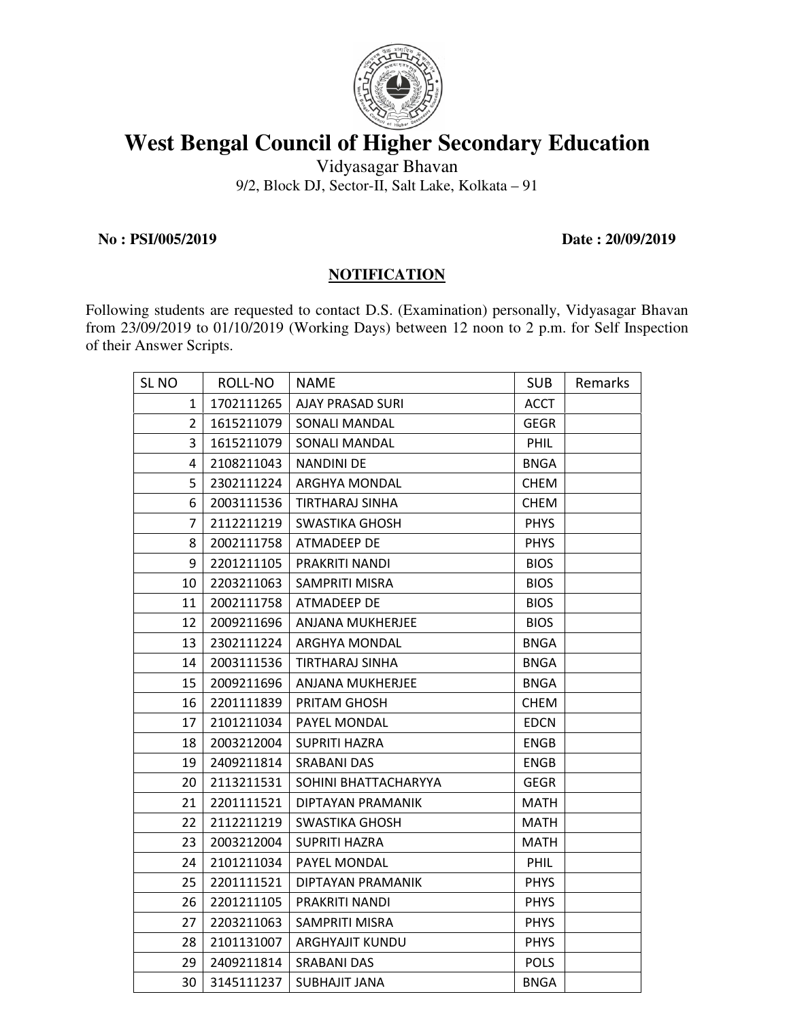

## **West Bengal Council of Higher Secondary Education**

Vidyasagar Bhavan 9/2, Block DJ, Sector-II, Salt Lake, Kolkata – 91

**No : PSI/005/2019 Date : 20/09/2019** 

## **NOTIFICATION**

Following students are requested to contact D.S. (Examination) personally, Vidyasagar Bhavan from 23/09/2019 to 01/10/2019 (Working Days) between 12 noon to 2 p.m. for Self Inspection of their Answer Scripts.

| SL NO          | ROLL-NO    | <b>NAME</b>             | <b>SUB</b>  | Remarks |
|----------------|------------|-------------------------|-------------|---------|
| $\mathbf{1}$   | 1702111265 | <b>AJAY PRASAD SURI</b> | <b>ACCT</b> |         |
| $\overline{2}$ | 1615211079 | SONALI MANDAL           | <b>GEGR</b> |         |
| 3              | 1615211079 | <b>SONALI MANDAL</b>    | <b>PHIL</b> |         |
| 4              | 2108211043 | <b>NANDINI DE</b>       | <b>BNGA</b> |         |
| 5              | 2302111224 | ARGHYA MONDAL           | <b>CHEM</b> |         |
| 6              | 2003111536 | <b>TIRTHARAJ SINHA</b>  | <b>CHEM</b> |         |
| $\overline{7}$ | 2112211219 | <b>SWASTIKA GHOSH</b>   | <b>PHYS</b> |         |
| 8              | 2002111758 | ATMADEEP DE             | <b>PHYS</b> |         |
| 9              | 2201211105 | PRAKRITI NANDI          | <b>BIOS</b> |         |
| 10             | 2203211063 | SAMPRITI MISRA          | <b>BIOS</b> |         |
| 11             | 2002111758 | ATMADEEP DE             | <b>BIOS</b> |         |
| 12             | 2009211696 | ANJANA MUKHERJEE        | <b>BIOS</b> |         |
| 13             | 2302111224 | ARGHYA MONDAL           | <b>BNGA</b> |         |
| 14             | 2003111536 | TIRTHARAJ SINHA         | <b>BNGA</b> |         |
| 15             | 2009211696 | ANJANA MUKHERJEE        | <b>BNGA</b> |         |
| 16             | 2201111839 | PRITAM GHOSH            | CHEM        |         |
| 17             | 2101211034 | PAYEL MONDAL            | <b>EDCN</b> |         |
| 18             | 2003212004 | <b>SUPRITI HAZRA</b>    | <b>ENGB</b> |         |
| 19             | 2409211814 | <b>SRABANI DAS</b>      | <b>ENGB</b> |         |
| 20             | 2113211531 | SOHINI BHATTACHARYYA    | <b>GEGR</b> |         |
| 21             | 2201111521 | DIPTAYAN PRAMANIK       | <b>MATH</b> |         |
| 22             | 2112211219 | <b>SWASTIKA GHOSH</b>   | <b>MATH</b> |         |
| 23             | 2003212004 | <b>SUPRITI HAZRA</b>    | MATH        |         |
| 24             | 2101211034 | PAYEL MONDAL            | <b>PHIL</b> |         |
| 25             | 2201111521 | DIPTAYAN PRAMANIK       | <b>PHYS</b> |         |
| 26             | 2201211105 | PRAKRITI NANDI          | <b>PHYS</b> |         |
| 27             | 2203211063 | SAMPRITI MISRA          | <b>PHYS</b> |         |
| 28             | 2101131007 | ARGHYAJIT KUNDU         | <b>PHYS</b> |         |
| 29             | 2409211814 | <b>SRABANI DAS</b>      | <b>POLS</b> |         |
| 30             | 3145111237 | <b>SUBHAJIT JANA</b>    | <b>BNGA</b> |         |